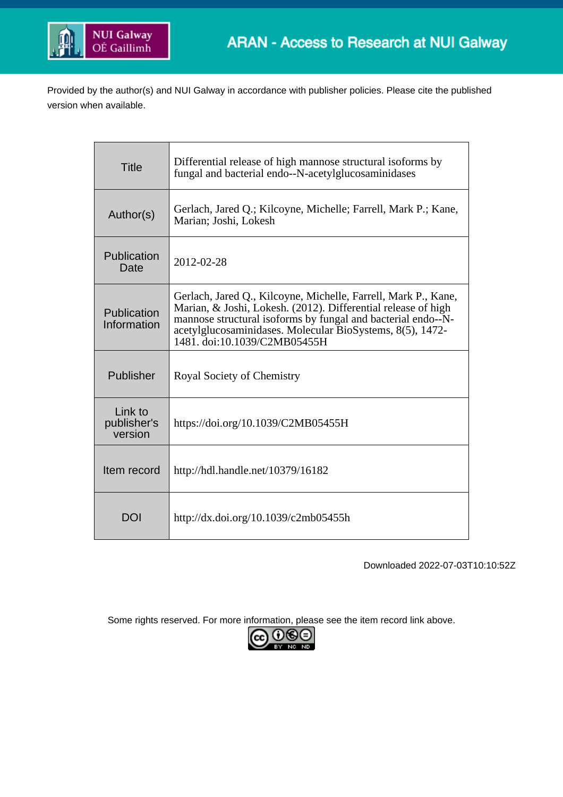

Provided by the author(s) and NUI Galway in accordance with publisher policies. Please cite the published version when available.

| <b>Title</b>                      | Differential release of high mannose structural isoforms by<br>fungal and bacterial endo--N-acetylglucosaminidases                                                                                                                                                                           |
|-----------------------------------|----------------------------------------------------------------------------------------------------------------------------------------------------------------------------------------------------------------------------------------------------------------------------------------------|
| Author(s)                         | Gerlach, Jared Q.; Kilcoyne, Michelle; Farrell, Mark P.; Kane,<br>Marian; Joshi, Lokesh                                                                                                                                                                                                      |
| Publication<br>Date               | 2012-02-28                                                                                                                                                                                                                                                                                   |
| Publication<br>Information        | Gerlach, Jared Q., Kilcoyne, Michelle, Farrell, Mark P., Kane,<br>Marian, & Joshi, Lokesh. (2012). Differential release of high<br>mannose structural isoforms by fungal and bacterial endo--N-<br>acetylglucosaminidases. Molecular BioSystems, 8(5), 1472-<br>1481. doi:10.1039/C2MB05455H |
| Publisher                         | Royal Society of Chemistry                                                                                                                                                                                                                                                                   |
| Link to<br>publisher's<br>version | https://doi.org/10.1039/C2MB05455H                                                                                                                                                                                                                                                           |
| Item record                       | http://hdl.handle.net/10379/16182                                                                                                                                                                                                                                                            |
| <b>DOI</b>                        | http://dx.doi.org/10.1039/c2mb05455h                                                                                                                                                                                                                                                         |

Downloaded 2022-07-03T10:10:52Z

Some rights reserved. For more information, please see the item record link above.

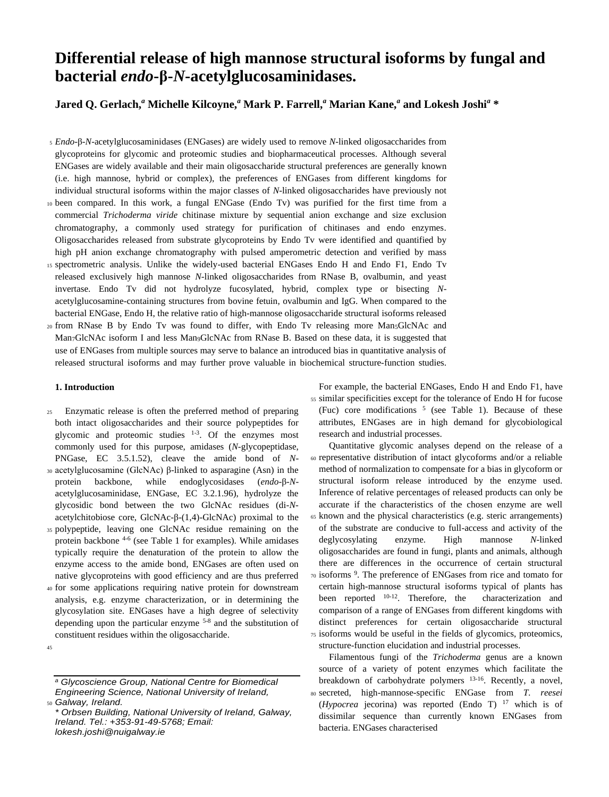# **Differential release of high mannose structural isoforms by fungal and bacterial** *endo***-β-***N***-acetylglucosaminidases.**

**Jared Q. Gerlach,***<sup>a</sup>* **Michelle Kilcoyne,***<sup>a</sup>* **Mark P. Farrell,***<sup>a</sup>* **Marian Kane,***<sup>a</sup>* **and Lokesh Joshi***<sup>a</sup>* **\***

- <sup>5</sup> *Endo*-β-*N-*acetylglucosaminidases (ENGases) are widely used to remove *N*-linked oligosaccharides from glycoproteins for glycomic and proteomic studies and biopharmaceutical processes. Although several ENGases are widely available and their main oligosaccharide structural preferences are generally known (i.e. high mannose, hybrid or complex), the preferences of ENGases from different kingdoms for individual structural isoforms within the major classes of *N*-linked oligosaccharides have previously not <sup>10</sup> been compared. In this work, a fungal ENGase (Endo Tv) was purified for the first time from a commercial *Trichoderma viride* chitinase mixture by sequential anion exchange and size exclusion chromatography, a commonly used strategy for purification of chitinases and endo enzymes. Oligosaccharides released from substrate glycoproteins by Endo Tv were identified and quantified by high pH anion exchange chromatography with pulsed amperometric detection and verified by mass <sup>15</sup> spectrometric analysis. Unlike the widely-used bacterial ENGases Endo H and Endo F1, Endo Tv released exclusively high mannose *N*-linked oligosaccharides from RNase B, ovalbumin, and yeast
- invertase. Endo Tv did not hydrolyze fucosylated, hybrid, complex type or bisecting *N*acetylglucosamine-containing structures from bovine fetuin, ovalbumin and IgG. When compared to the bacterial ENGase, Endo H, the relative ratio of high-mannose oligosaccharide structural isoforms released <sup>20</sup> from RNase B by Endo Tv was found to differ, with Endo Tv releasing more Man5GlcNAc and
- Man7GlcNAc isoform I and less Man9GlcNAc from RNase B. Based on these data, it is suggested that use of ENGases from multiple sources may serve to balance an introduced bias in quantitative analysis of released structural isoforms and may further prove valuable in biochemical structure-function studies.

#### **1. Introduction**

- <sup>25</sup> Enzymatic release is often the preferred method of preparing both intact oligosaccharides and their source polypeptides for glycomic and proteomic studies  $1-3$ . Of the enzymes most commonly used for this purpose, amidases (*N*-glycopeptidase, PNGase, EC 3.5.1.52), cleave the amide bond of *N*-<sup>30</sup> acetylglucosamine (GlcNAc) β-linked to asparagine (Asn) in the protein backbone, while endoglycosidases (*endo*-β-*N*acetylglucosaminidase, ENGase, EC 3.2.1.96), hydrolyze the glycosidic bond between the two GlcNAc residues (di-*N*acetylchitobiose core, GlcNAc-β-(1,4)-GlcNAc) proximal to the
- <sup>35</sup> polypeptide, leaving one GlcNAc residue remaining on the protein backbone <sup>4-6</sup> (see Table 1 for examples). While amidases typically require the denaturation of the protein to allow the enzyme access to the amide bond, ENGases are often used on native glycoproteins with good efficiency and are thus preferred
- <sup>40</sup> for some applications requiring native protein for downstream analysis, e.g. enzyme characterization, or in determining the glycosylation site. ENGases have a high degree of selectivity depending upon the particular enzyme 5-8 and the substitution of constituent residues within the oligosaccharide.
- 45

For example, the bacterial ENGases, Endo H and Endo F1, have <sup>55</sup> similar specificities except for the tolerance of Endo H for fucose (Fuc) core modifications  $5$  (see Table 1). Because of these attributes, ENGases are in high demand for glycobiological research and industrial processes.

Quantitative glycomic analyses depend on the release of a <sup>60</sup> representative distribution of intact glycoforms and/or a reliable method of normalization to compensate for a bias in glycoform or structural isoform release introduced by the enzyme used. Inference of relative percentages of released products can only be accurate if the characteristics of the chosen enzyme are well <sup>65</sup> known and the physical characteristics (e.g. steric arrangements) of the substrate are conducive to full-access and activity of the deglycosylating enzyme. High mannose *N*-linked oligosaccharides are found in fungi, plants and animals, although there are differences in the occurrence of certain structural 70 isoforms <sup>9</sup>. The preference of ENGases from rice and tomato for certain high-mannose structural isoforms typical of plants has been reported  $10-12$ . Therefore, the characterization and comparison of a range of ENGases from different kingdoms with distinct preferences for certain oligosaccharide structural <sup>75</sup> isoforms would be useful in the fields of glycomics, proteomics, structure-function elucidation and industrial processes.

Filamentous fungi of the *Trichoderma* genus are a known source of a variety of potent enzymes which facilitate the breakdown of carbohydrate polymers <sup>13-16</sup>. Recently, a novel, <sup>80</sup> secreted, high-mannose-specific ENGase from *T. reesei* (*Hypocrea* jecorina) was reported (Endo T) <sup>17</sup> which is of dissimilar sequence than currently known ENGases from bacteria. ENGases characterised

*<sup>a</sup> Glycoscience Group, National Centre for Biomedical Engineering Science, National University of Ireland,*  <sup>50</sup> *Galway, Ireland.*

*<sup>\*</sup> Orbsen Building, National University of Ireland, Galway, Ireland. Tel.: +353-91-49-5768; Email: lokesh.joshi@nuigalway.ie*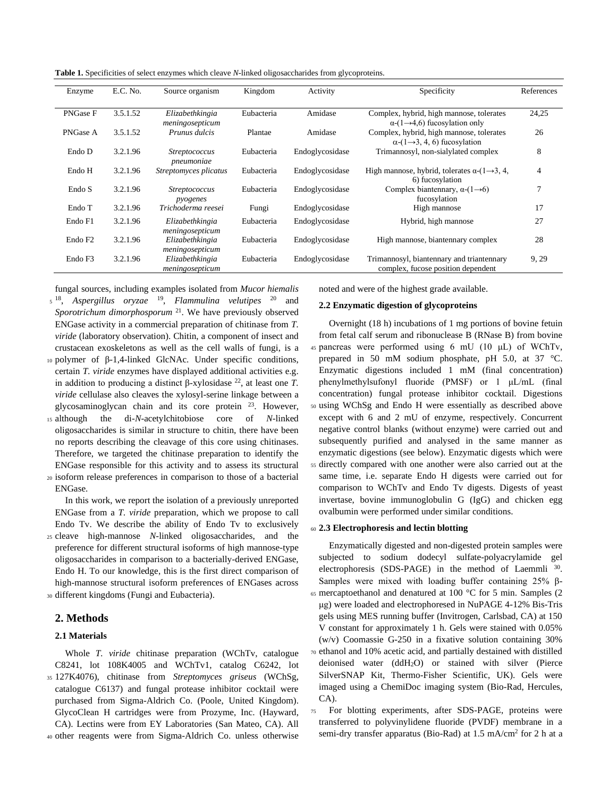**Table 1.** Specificities of select enzymes which cleave *N*-linked oligosaccharides from glycoproteins.

| Enzyme              | E.C. No. | Source organism                    | Kingdom    | Activity        | Specificity                                                                                  | References     |
|---------------------|----------|------------------------------------|------------|-----------------|----------------------------------------------------------------------------------------------|----------------|
| PNGase F            | 3.5.1.52 | Elizabethkingia<br>meningosepticum | Eubacteria | Amidase         | Complex, hybrid, high mannose, tolerates<br>$\alpha$ -(1-4,6) fucosylation only              | 24,25          |
| PNGase A            | 3.5.1.52 | Prunus dulcis                      | Plantae    | Amidase         | Complex, hybrid, high mannose, tolerates<br>$\alpha$ -(1 $\rightarrow$ 3, 4, 6) fucosylation | 26             |
| Endo D              | 3.2.1.96 | <i>Streptococcus</i><br>pneumoniae | Eubacteria | Endoglycosidase | Trimannosyl, non-sialylated complex                                                          | 8              |
| Endo H              | 3.2.1.96 | Streptomyces plicatus              | Eubacteria | Endoglycosidase | High mannose, hybrid, tolerates $\alpha$ -(1 $\rightarrow$ 3, 4,<br>6) fucosylation          | $\overline{4}$ |
| Endo S              | 3.2.1.96 | <i>Streptococcus</i><br>pyogenes   | Eubacteria | Endoglycosidase | Complex biantennary, $\alpha$ - $(1\rightarrow 6)$<br>fucosylation                           |                |
| Endo T              | 3.2.1.96 | Trichoderma reesei                 | Fungi      | Endoglycosidase | High mannose                                                                                 | 17             |
| Endo F1             | 3.2.1.96 | Elizabethkingia<br>meningosepticum | Eubacteria | Endoglycosidase | Hybrid, high mannose                                                                         | 27             |
| Endo F <sub>2</sub> | 3.2.1.96 | Elizabethkingia<br>meningosepticum | Eubacteria | Endoglycosidase | High mannose, biantennary complex                                                            | 28             |
| Endo F3             | 3.2.1.96 | Elizabethkingia<br>meningosepticum | Eubacteria | Endoglycosidase | Trimannosyl, biantennary and triantennary<br>complex, fucose position dependent              | 9, 29          |

fungal sources, including examples isolated from *Mucor hiemalis*

- <sup>5</sup><sup>18</sup>, Aspergillus oryzae<sup>19</sup>, Flammulina velutipes<sup>20</sup> and Sporotrichum dimorphosporum<sup>21</sup>. We have previously observed ENGase activity in a commercial preparation of chitinase from *T. viride* (laboratory observation). Chitin, a component of insect and crustacean exoskeletons as well as the cell walls of fungi, is a
- <sup>10</sup> polymer of β-1,4-linked GlcNAc. Under specific conditions, certain *T. viride* enzymes have displayed additional activities e.g. in addition to producing a distinct β-xylosidase <sup>22</sup>, at least one *T*. *viride* cellulase also cleaves the xylosyl-serine linkage between a glycosaminoglycan chain and its core protein <sup>23</sup>. However,
- <sup>15</sup> although the di-*N*-acetylchitobiose core of *N*-linked oligosaccharides is similar in structure to chitin, there have been no reports describing the cleavage of this core using chitinases. Therefore, we targeted the chitinase preparation to identify the ENGase responsible for this activity and to assess its structural
- <sup>20</sup> isoform release preferences in comparison to those of a bacterial ENGase.

In this work, we report the isolation of a previously unreported ENGase from a *T. viride* preparation, which we propose to call Endo Tv. We describe the ability of Endo Tv to exclusively <sup>25</sup> cleave high-mannose *N*-linked oligosaccharides, and the

preference for different structural isoforms of high mannose-type oligosaccharides in comparison to a bacterially-derived ENGase, Endo H. To our knowledge, this is the first direct comparison of high-mannose structural isoform preferences of ENGases across <sup>30</sup> different kingdoms (Fungi and Eubacteria).

# **2. Methods**

### **2.1 Materials**

Whole *T. viride* chitinase preparation (WChTv, catalogue C8241, lot 108K4005 and WChTv1, catalog C6242, lot <sup>35</sup> 127K4076), chitinase from *Streptomyces griseus* (WChSg, catalogue C6137) and fungal protease inhibitor cocktail were purchased from Sigma-Aldrich Co. (Poole, United Kingdom). GlycoClean H cartridges were from Prozyme, Inc. (Hayward, CA). Lectins were from EY Laboratories (San Mateo, CA). All <sup>40</sup> other reagents were from Sigma-Aldrich Co. unless otherwise

noted and were of the highest grade available.

#### **2.2 Enzymatic digestion of glycoproteins**

Overnight (18 h) incubations of 1 mg portions of bovine fetuin from fetal calf serum and ribonuclease B (RNase B) from bovine <sup>45</sup> pancreas were performed using 6 mU (10 μL) of WChTv, prepared in 50 mM sodium phosphate, pH 5.0, at 37 °C. Enzymatic digestions included 1 mM (final concentration) phenylmethylsufonyl fluoride (PMSF) or 1 μL/mL (final concentration) fungal protease inhibitor cocktail. Digestions <sup>50</sup> using WChSg and Endo H were essentially as described above except with 6 and 2 mU of enzyme, respectively. Concurrent negative control blanks (without enzyme) were carried out and subsequently purified and analysed in the same manner as enzymatic digestions (see below). Enzymatic digests which were <sup>55</sup> directly compared with one another were also carried out at the same time, i.e. separate Endo H digests were carried out for comparison to WChTv and Endo Tv digests. Digests of yeast invertase, bovine immunoglobulin G (IgG) and chicken egg ovalbumin were performed under similar conditions.

#### <sup>60</sup> **2.3 Electrophoresis and lectin blotting**

Enzymatically digested and non-digested protein samples were subjected to sodium dodecyl sulfate-polyacrylamide gel electrophoresis (SDS-PAGE) in the method of Laemmli <sup>30</sup>. Samples were mixed with loading buffer containing 25% β-<sup>65</sup> mercaptoethanol and denatured at 100 °C for 5 min. Samples (2 μg) were loaded and electrophoresed in NuPAGE 4-12% Bis-Tris gels using MES running buffer (Invitrogen, Carlsbad, CA) at 150 V constant for approximately 1 h. Gels were stained with 0.05% (w/v) Coomassie G-250 in a fixative solution containing 30% <sup>70</sup> ethanol and 10% acetic acid, and partially destained with distilled deionised water (ddH2O) or stained with silver (Pierce

- SilverSNAP Kit, Thermo-Fisher Scientific, UK). Gels were imaged using a ChemiDoc imaging system (Bio-Rad, Hercules, CA).
- <sup>75</sup> For blotting experiments, after SDS-PAGE, proteins were transferred to polyvinylidene fluoride (PVDF) membrane in a semi-dry transfer apparatus (Bio-Rad) at 1.5 mA/cm<sup>2</sup> for 2 h at a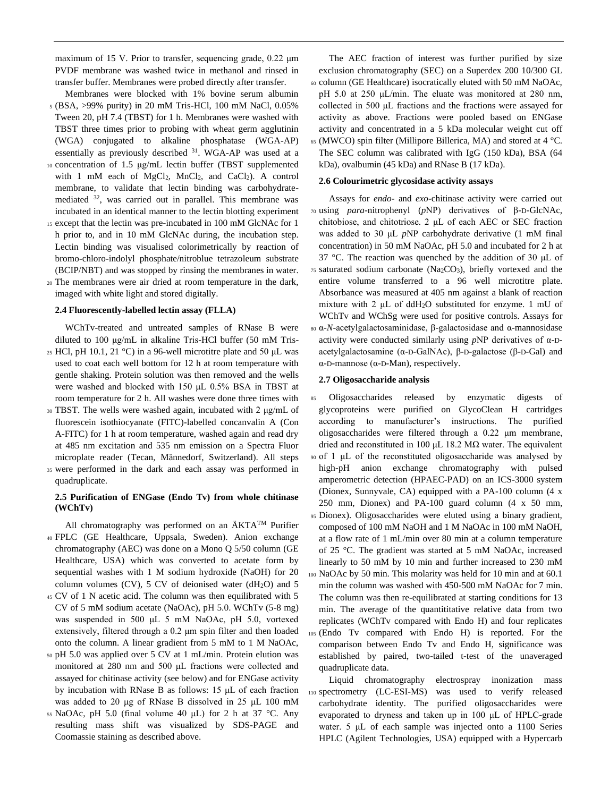maximum of 15 V. Prior to transfer, sequencing grade, 0.22 μm PVDF membrane was washed twice in methanol and rinsed in transfer buffer. Membranes were probed directly after transfer.

- Membranes were blocked with 1% bovine serum albumin <sup>5</sup> (BSA, >99% purity) in 20 mM Tris-HCl, 100 mM NaCl, 0.05% Tween 20, pH 7.4 (TBST) for 1 h. Membranes were washed with TBST three times prior to probing with wheat germ agglutinin (WGA) conjugated to alkaline phosphatase (WGA-AP) essentially as previously described <sup>31</sup>. WGA-AP was used at a
- <sup>10</sup> concentration of 1.5 μg/mL lectin buffer (TBST supplemented with 1 mM each of MgCl<sub>2</sub>, MnCl<sub>2</sub>, and CaCl<sub>2</sub>). A control membrane, to validate that lectin binding was carbohydratemediated <sup>32</sup>, was carried out in parallel. This membrane was incubated in an identical manner to the lectin blotting experiment
- <sup>15</sup> except that the lectin was pre-incubated in 100 mM GlcNAc for 1 h prior to, and in 10 mM GlcNAc during, the incubation step. Lectin binding was visualised colorimetrically by reaction of bromo-chloro-indolyl phosphate/nitroblue tetrazoleum substrate (BCIP/NBT) and was stopped by rinsing the membranes in water.
- <sup>20</sup> The membranes were air dried at room temperature in the dark, imaged with white light and stored digitally.

#### **2.4 Fluorescently-labelled lectin assay (FLLA)**

WChTv-treated and untreated samples of RNase B were diluted to 100 μg/mL in alkaline Tris-HCl buffer (50 mM Tris-

- <sup>25</sup> HCl, pH 10.1, 21 °C) in a 96-well microtitre plate and 50 μL was used to coat each well bottom for 12 h at room temperature with gentle shaking. Protein solution was then removed and the wells were washed and blocked with 150 μL 0.5% BSA in TBST at room temperature for 2 h. All washes were done three times with
- <sup>30</sup> TBST. The wells were washed again, incubated with 2 μg/mL of fluorescein isothiocyanate (FITC)-labelled concanvalin A (Con A-FITC) for 1 h at room temperature, washed again and read dry at 485 nm excitation and 535 nm emission on a Spectra Fluor microplate reader (Tecan, Männedorf, Switzerland). All steps <sup>35</sup> were performed in the dark and each assay was performed in quadruplicate.

# **2.5 Purification of ENGase (Endo Tv) from whole chitinase (WChTv)**

All chromatography was performed on an  $\text{AKTA}^{\text{TM}}$  Purifier <sup>40</sup> FPLC (GE Healthcare, Uppsala, Sweden). Anion exchange chromatography (AEC) was done on a Mono Q 5/50 column (GE Healthcare, USA) which was converted to acetate form by sequential washes with 1 M sodium hydroxide (NaOH) for 20 column volumes (CV), 5 CV of deionised water ( $dH_2O$ ) and 5

- <sup>45</sup> CV of 1 N acetic acid. The column was then equilibrated with 5 CV of 5 mM sodium acetate (NaOAc), pH 5.0. WChTv (5-8 mg) was suspended in 500 μL 5 mM NaOAc, pH 5.0, vortexed extensively, filtered through a 0.2 μm spin filter and then loaded onto the column. A linear gradient from 5 mM to 1 M NaOAc,
- <sup>50</sup> pH 5.0 was applied over 5 CV at 1 mL/min. Protein elution was monitored at 280 nm and 500 μL fractions were collected and assayed for chitinase activity (see below) and for ENGase activity by incubation with RNase B as follows: 15 μL of each fraction was added to 20 μg of RNase B dissolved in 25 μL 100 mM
- 55 NaOAc, pH 5.0 (final volume 40 μL) for 2 h at 37 °C. Any resulting mass shift was visualized by SDS-PAGE and Coomassie staining as described above.

The AEC fraction of interest was further purified by size exclusion chromatography (SEC) on a Superdex 200 10/300 GL <sup>60</sup> column (GE Healthcare) isocratically eluted with 50 mM NaOAc, pH 5.0 at 250 μL/min. The eluate was monitored at 280 nm, collected in 500 μL fractions and the fractions were assayed for activity as above. Fractions were pooled based on ENGase activity and concentrated in a 5 kDa molecular weight cut off  $65$  (MWCO) spin filter (Millipore Billerica, MA) and stored at 4 °C. The SEC column was calibrated with IgG (150 kDa), BSA (64 kDa), ovalbumin (45 kDa) and RNase B (17 kDa).

#### **2.6 Colourimetric glycosidase activity assays**

Assays for *endo*- and *exo*-chitinase activity were carried out <sup>70</sup> using *para*-nitrophenyl (*p*NP) derivatives of β-D-GlcNAc, chitobiose, and chitotriose. 2 μL of each AEC or SEC fraction was added to 30 μL *p*NP carbohydrate derivative (1 mM final concentration) in 50 mM NaOAc, pH 5.0 and incubated for 2 h at 37 °C. The reaction was quenched by the addition of 30 μL of <sup>75</sup> saturated sodium carbonate (Na2CO3), briefly vortexed and the entire volume transferred to a 96 well microtitre plate. Absorbance was measured at 405 nm against a blank of reaction mixture with 2 μL of ddH2O substituted for enzyme. 1 mU of WChTv and WChSg were used for positive controls. Assays for <sup>80</sup> α-*N*-acetylgalactosaminidase, β-galactosidase and α-mannosidase activity were conducted similarly using *p*NP derivatives of α-Dacetylgalactosamine (α-D-GalNAc), β-D-galactose (β-D-Gal) and α-D-mannose (α-D-Man), respectively.

#### **2.7 Oligosaccharide analysis**

<sup>85</sup> Oligosaccharides released by enzymatic digests of glycoproteins were purified on GlycoClean H cartridges according to manufacturer's instructions. The purified oligosaccharides were filtered through a 0.22 μm membrane, dried and reconstituted in 100 μL 18.2 MΩ water. The equivalent <sup>90</sup> of 1 μL of the reconstituted oligosaccharide was analysed by high-pH anion exchange chromatography with pulsed amperometric detection (HPAEC-PAD) on an ICS-3000 system (Dionex, Sunnyvale, CA) equipped with a PA-100 column (4 x 250 mm, Dionex) and PA-100 guard column (4 x 50 mm, <sup>95</sup> Dionex). Oligosaccharides were eluted using a binary gradient, composed of 100 mM NaOH and 1 M NaOAc in 100 mM NaOH, at a flow rate of 1 mL/min over 80 min at a column temperature of 25 °C. The gradient was started at 5 mM NaOAc, increased linearly to 50 mM by 10 min and further increased to 230 mM <sup>100</sup> NaOAc by 50 min. This molarity was held for 10 min and at 60.1 min the column was washed with 450-500 mM NaOAc for 7 min. The column was then re-equilibrated at starting conditions for 13 min. The average of the quantititative relative data from two replicates (WChTv compared with Endo H) and four replicates <sup>105</sup> (Endo Tv compared with Endo H) is reported. For the comparison between Endo Tv and Endo H, significance was established by paired, two-tailed t-test of the unaveraged quadruplicate data.

Liquid chromatography electrospray inonization mass <sup>110</sup> spectrometry (LC-ESI-MS) was used to verify released carbohydrate identity. The purified oligosaccharides were evaporated to dryness and taken up in 100 μL of HPLC-grade water. 5 μL of each sample was injected onto a 1100 Series HPLC (Agilent Technologies, USA) equipped with a Hypercarb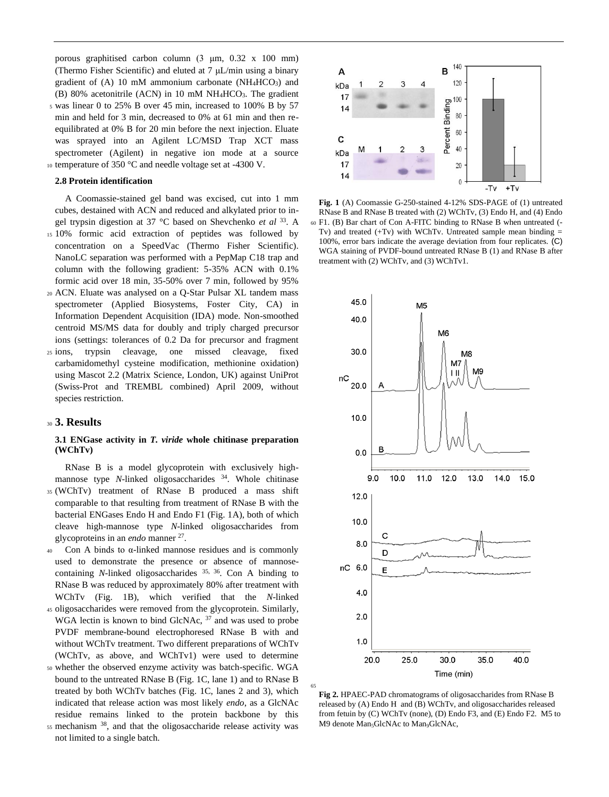porous graphitised carbon column (3 μm, 0.32 x 100 mm) (Thermo Fisher Scientific) and eluted at 7 μL/min using a binary gradient of  $(A)$  10 mM ammonium carbonate (NH<sub>4</sub>HCO<sub>3</sub>) and (B) 80% acetonitrile (ACN) in 10 mM NH4HCO3. The gradient <sup>5</sup> was linear 0 to 25% B over 45 min, increased to 100% B by 57

min and held for 3 min, decreased to 0% at 61 min and then reequilibrated at 0% B for 20 min before the next injection. Eluate was sprayed into an Agilent LC/MSD Trap XCT mass spectrometer (Agilent) in negative ion mode at a source <sup>10</sup> temperature of 350 °C and needle voltage set at -4300 V.

#### **2.8 Protein identification**

A Coomassie-stained gel band was excised, cut into 1 mm cubes, destained with ACN and reduced and alkylated prior to ingel trypsin digestion at 37 °C based on Shevchenko *et al* <sup>33</sup>. A <sup>15</sup> 10% formic acid extraction of peptides was followed by concentration on a SpeedVac (Thermo Fisher Scientific). NanoLC separation was performed with a PepMap C18 trap and column with the following gradient: 5-35% ACN with 0.1% formic acid over 18 min, 35-50% over 7 min, followed by 95%

- <sup>20</sup> ACN. Eluate was analysed on a Q-Star Pulsar XL tandem mass spectrometer (Applied Biosystems, Foster City, CA) in Information Dependent Acquisition (IDA) mode. Non-smoothed centroid MS/MS data for doubly and triply charged precursor ions (settings: tolerances of 0.2 Da for precursor and fragment
- <sup>25</sup> ions, trypsin cleavage, one missed cleavage, fixed carbamidomethyl cysteine modification, methionine oxidation) using Mascot 2.2 (Matrix Science, London, UK) against UniProt (Swiss-Prot and TREMBL combined) April 2009, without species restriction.

# <sup>30</sup> **3. Results**

#### **3.1 ENGase activity in** *T. viride* **whole chitinase preparation (WChTv)**

RNase B is a model glycoprotein with exclusively highmannose type *N*-linked oligosaccharides <sup>34</sup>. Whole chitinase <sup>35</sup> (WChTv) treatment of RNase B produced a mass shift comparable to that resulting from treatment of RNase B with the bacterial ENGases Endo H and Endo F1 (Fig. 1A), both of which cleave high-mannose type *N*-linked oligosaccharides from glycoproteins in an *endo* manner <sup>27</sup>.

- Con A binds to  $\alpha$ -linked mannose residues and is commonly used to demonstrate the presence or absence of mannosecontaining *N*-linked oligosaccharides <sup>35, 36</sup>. Con A binding to RNase B was reduced by approximately 80% after treatment with WChTv (Fig. 1B), which verified that the *N*-linked
- <sup>45</sup> oligosaccharides were removed from the glycoprotein. Similarly, WGA lectin is known to bind GlcNAc, <sup>37</sup> and was used to probe PVDF membrane-bound electrophoresed RNase B with and without WChTv treatment. Two different preparations of WChTv (WChTv, as above, and WChTv1) were used to determine
- <sup>50</sup> whether the observed enzyme activity was batch-specific. WGA bound to the untreated RNase B (Fig. 1C, lane 1) and to RNase B treated by both WChTv batches (Fig. 1C, lanes 2 and 3), which indicated that release action was most likely *endo*, as a GlcNAc residue remains linked to the protein backbone by this
- $55$  mechanism  $38$ , and that the oligosaccharide release activity was not limited to a single batch.



**Fig. 1** (A) Coomassie G-250-stained 4-12% SDS-PAGE of (1) untreated RNase B and RNase B treated with (2) WChTv, (3) Endo H, and (4) Endo <sup>60</sup> F1. (B) Bar chart of Con A-FITC binding to RNase B when untreated (- Tv) and treated  $(+Tv)$  with WChTv. Untreated sample mean binding  $=$ 100%, error bars indicate the average deviation from four replicates. (C) WGA staining of PVDF-bound untreated RNase B (1) and RNase B after treatment with (2) WChTv, and (3) WChTv1.



**Fig 2.** HPAEC-PAD chromatograms of oligosaccharides from RNase B released by (A) Endo H and (B) WChTv, and oligosaccharides released from fetuin by (C) WChTv (none), (D) Endo F3, and (E) Endo F2. M5 to M9 denote Man<sub>5</sub>GlcNAc to Man<sub>9</sub>GlcNAc,

65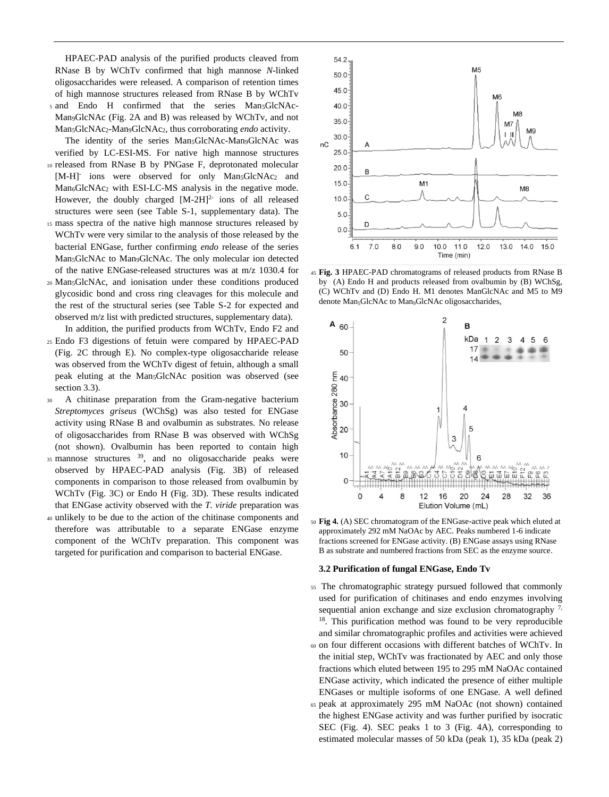HPAEC-PAD analysis of the purified products cleaved from RNase B by WChTv confirmed that high mannose *N*-linked oligosaccharides were released. A comparison of retention times of high mannose structures released from RNase B by WChTv <sup>5</sup> and Endo H confirmed that the series Man5GlcNAc-Man9GlcNAc (Fig. 2A and B) was released by WChTv, and not Man5GlcNAc2-Man9GlcNAc2, thus corroborating *endo* activity.

The identity of the series Man<sub>5</sub>GlcNAc-Man<sub>9</sub>GlcNAc was verified by LC-ESI-MS. For native high mannose structures

- <sup>10</sup> released from RNase B by PNGase F, deprotonated molecular [M-H]<sup>-</sup> ions were observed for only Man<sub>5</sub>GlcNAc<sub>2</sub> and Man6GlcNAc<sup>2</sup> with ESI-LC-MS analysis in the negative mode. However, the doubly charged [M-2H]<sup>2-</sup> ions of all released structures were seen (see Table S-1, supplementary data). The
- <sup>15</sup> mass spectra of the native high mannose structures released by WChTv were very similar to the analysis of those released by the bacterial ENGase, further confirming *endo* release of the series Man5GlcNAc to Man9GlcNAc. The only molecular ion detected of the native ENGase-released structures was at m/z 1030.4 for
- <sup>20</sup> Man5GlcNAc, and ionisation under these conditions produced glycosidic bond and cross ring cleavages for this molecule and the rest of the structural series (see Table S-2 for expected and observed m/z list with predicted structures, supplementary data).
- In addition, the purified products from WChTv, Endo F2 and <sup>25</sup> Endo F3 digestions of fetuin were compared by HPAEC-PAD (Fig. 2C through E). No complex-type oligosaccharide release was observed from the WChTv digest of fetuin, although a small peak eluting at the Man5GlcNAc position was observed (see section 3.3).
- <sup>30</sup> A chitinase preparation from the Gram-negative bacterium *Streptomyces griseus* (WChSg) was also tested for ENGase activity using RNase B and ovalbumin as substrates. No release of oligosaccharides from RNase B was observed with WChSg (not shown). Ovalbumin has been reported to contain high
- mannose structures  $39$ , and no oligosaccharide peaks were observed by HPAEC-PAD analysis (Fig. 3B) of released components in comparison to those released from ovalbumin by WChTv (Fig. 3C) or Endo H (Fig. 3D). These results indicated that ENGase activity observed with the *T. viride* preparation was
- <sup>40</sup> unlikely to be due to the action of the chitinase components and therefore was attributable to a separate ENGase enzyme component of the WChTv preparation. This component was targeted for purification and comparison to bacterial ENGase.



<sup>45</sup> **Fig. 3** HPAEC-PAD chromatograms of released products from RNase B by (A) Endo H and products released from ovalbumin by (B) WChSg, (C) WChTv and (D) Endo H. M1 denotes ManGlcNAc and M5 to M9 denote Man<sub>5</sub>GlcNAc to Man<sub>9</sub>GlcNAc oligosaccharides,



<sup>50</sup> **Fig 4.** (A) SEC chromatogram of the ENGase-active peak which eluted at approximately 292 mM NaOAc by AEC. Peaks numbered 1-6 indicate fractions screened for ENGase activity. (B) ENGase assays using RNase B as substrate and numbered fractions from SEC as the enzyme source.

#### **3.2 Purification of fungal ENGase, Endo Tv**

- <sup>55</sup> The chromatographic strategy pursued followed that commonly used for purification of chitinases and endo enzymes involving sequential anion exchange and size exclusion chromatography  $7$ , 18 . This purification method was found to be very reproducible and similar chromatographic profiles and activities were achieved
- <sup>60</sup> on four different occasions with different batches of WChTv. In the initial step, WChTv was fractionated by AEC and only those fractions which eluted between 195 to 295 mM NaOAc contained ENGase activity, which indicated the presence of either multiple ENGases or multiple isoforms of one ENGase. A well defined
- <sup>65</sup> peak at approximately 295 mM NaOAc (not shown) contained the highest ENGase activity and was further purified by isocratic SEC (Fig. 4). SEC peaks 1 to 3 (Fig. 4A), corresponding to estimated molecular masses of 50 kDa (peak 1), 35 kDa (peak 2)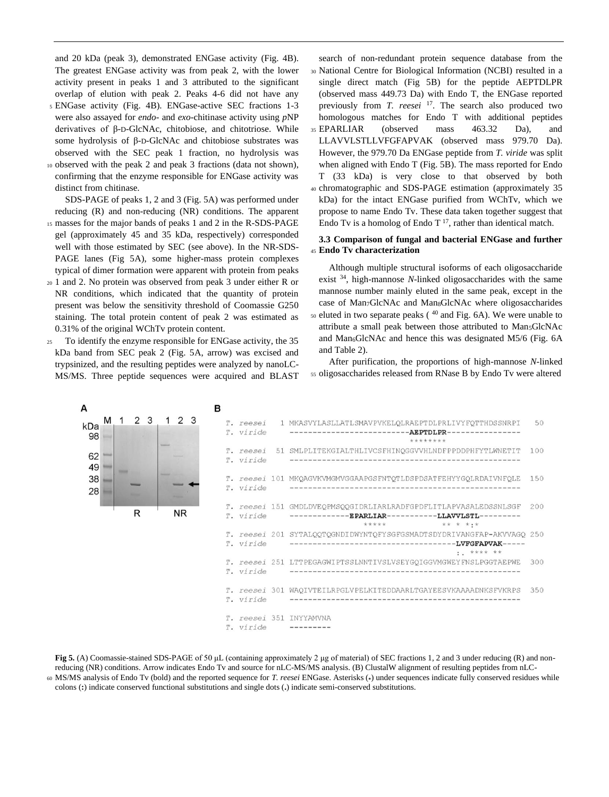and 20 kDa (peak 3), demonstrated ENGase activity (Fig. 4B). The greatest ENGase activity was from peak 2, with the lower activity present in peaks 1 and 3 attributed to the significant overlap of elution with peak 2. Peaks 4-6 did not have any

- <sup>5</sup> ENGase activity (Fig. 4B). ENGase-active SEC fractions 1-3 were also assayed for *endo*- and *exo*-chitinase activity using *p*NP derivatives of β-D-GlcNAc, chitobiose, and chitotriose. While some hydrolysis of β-D-GlcNAc and chitobiose substrates was observed with the SEC peak 1 fraction, no hydrolysis was
- <sup>10</sup> observed with the peak 2 and peak 3 fractions (data not shown), confirming that the enzyme responsible for ENGase activity was distinct from chitinase.

SDS-PAGE of peaks 1, 2 and 3 (Fig. 5A) was performed under reducing (R) and non-reducing (NR) conditions. The apparent

- <sup>15</sup> masses for the major bands of peaks 1 and 2 in the R-SDS-PAGE gel (approximately 45 and 35 kDa, respectively) corresponded well with those estimated by SEC (see above). In the NR-SDS-PAGE lanes (Fig 5A), some higher-mass protein complexes typical of dimer formation were apparent with protein from peaks
- <sup>20</sup> 1 and 2. No protein was observed from peak 3 under either R or NR conditions, which indicated that the quantity of protein present was below the sensitivity threshold of Coomassie G250 staining. The total protein content of peak 2 was estimated as 0.31% of the original WChTv protein content.
- <sup>25</sup> To identify the enzyme responsible for ENGase activity, the 35 kDa band from SEC peak 2 (Fig. 5A, arrow) was excised and trypsinized, and the resulting peptides were analyzed by nanoLC-MS/MS. Three peptide sequences were acquired and BLAST

search of non-redundant protein sequence database from the <sup>30</sup> National Centre for Biological Information (NCBI) resulted in a single direct match (Fig 5B) for the peptide AEPTDLPR (observed mass 449.73 Da) with Endo T, the ENGase reported previously from *T. reesei* <sup>17</sup>. The search also produced two homologous matches for Endo T with additional peptides <sup>35</sup> EPARLIAR (observed mass 463.32 Da), and LLAVVLSTLLVFGFAPVAK (observed mass 979.70 Da). However, the 979.70 Da ENGase peptide from *T. viride* was split when aligned with Endo T (Fig. 5B). The mass reported for Endo T (33 kDa) is very close to that observed by both <sup>40</sup> chromatographic and SDS-PAGE estimation (approximately 35 kDa) for the intact ENGase purified from WChTv, which we propose to name Endo Tv. These data taken together suggest that

# **3.3 Comparison of fungal and bacterial ENGase and further**  <sup>45</sup> **Endo Tv characterization**

Endo Tv is a homolog of Endo T<sup>17</sup>, rather than identical match.

Although multiple structural isoforms of each oligosaccharide exist <sup>34</sup> , high-mannose *N*-linked oligosaccharides with the same mannose number mainly eluted in the same peak, except in the case of Man7GlcNAc and Man8GlcNAc where oligosaccharides  $50$  eluted in two separate peaks ( $40$  and Fig. 6A). We were unable to attribute a small peak between those attributed to Man5GlcNAc and Man<sub>6</sub>GlcNAc and hence this was designated M5/6 (Fig. 6A and Table 2).

After purification, the proportions of high-mannose *N*-linked <sup>55</sup> oligosaccharides released from RNase B by Endo Tv were altered



**Fig 5.** (A) Coomassie-stained SDS-PAGE of 50 μL (containing approximately 2 μg of material) of SEC fractions 1, 2 and 3 under reducing (R) and nonreducing (NR) conditions. Arrow indicates Endo Tv and source for nLC-MS/MS analysis. (B) ClustalW alignment of resulting peptides from nLC-<sup>60</sup> MS/MS analysis of Endo Tv (bold) and the reported sequence for *T. reesei* ENGase. Asterisks (**\***) under sequences indicate fully conserved residues while colons (**:**) indicate conserved functional substitutions and single dots (**.**) indicate semi-conserved substitutions.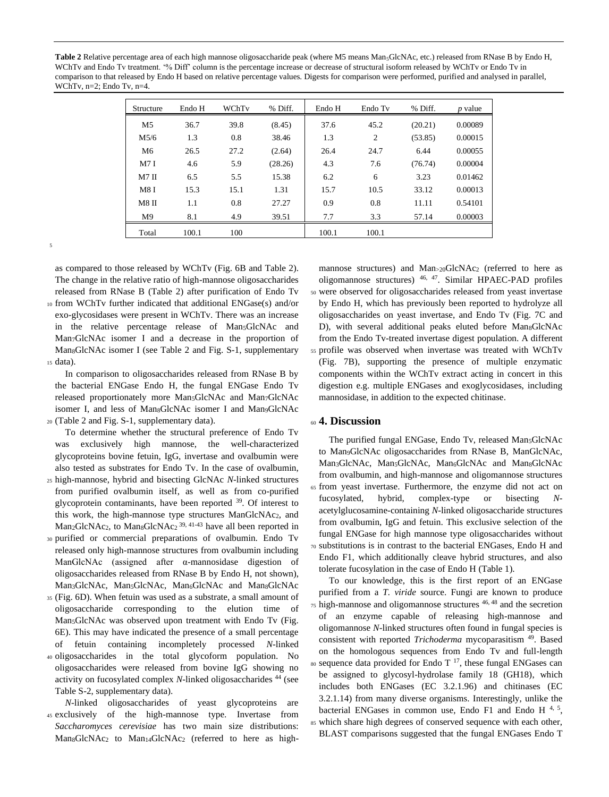Table 2 Relative percentage area of each high mannose oligosaccharide peak (where M5 means Man<sub>5</sub>GlcNAc, etc.) released from RNase B by Endo H, WChTv and Endo Tv treatment. '% Diff' column is the percentage increase or decrease of structural isoform released by WChTv or Endo Tv in comparison to that released by Endo H based on relative percentage values. Digests for comparison were performed, purified and analysed in parallel, WChTv, n=2; Endo Tv, n=4.

| Structure      | Endo H | WChTy | % Diff. | Endo H | Endo Tv        | % Diff. | $p$ value |
|----------------|--------|-------|---------|--------|----------------|---------|-----------|
| M <sub>5</sub> | 36.7   | 39.8  | (8.45)  | 37.6   | 45.2           | (20.21) | 0.00089   |
| M5/6           | 1.3    | 0.8   | 38.46   | 1.3    | $\mathfrak{2}$ | (53.85) | 0.00015   |
| M6             | 26.5   | 27.2  | (2.64)  | 26.4   | 24.7           | 6.44    | 0.00055   |
| M7I            | 4.6    | 5.9   | (28.26) | 4.3    | 7.6            | (76.74) | 0.00004   |
| $M7$ II        | 6.5    | 5.5   | 15.38   | 6.2    | 6              | 3.23    | 0.01462   |
| <b>M8I</b>     | 15.3   | 15.1  | 1.31    | 15.7   | 10.5           | 33.12   | 0.00013   |
| <b>M8 II</b>   | 1.1    | 0.8   | 27.27   | 0.9    | 0.8            | 11.11   | 0.54101   |
| M <sup>9</sup> | 8.1    | 4.9   | 39.51   | 7.7    | 3.3            | 57.14   | 0.00003   |
| Total          | 100.1  | 100   |         | 100.1  | 100.1          |         |           |

5

as compared to those released by WChTv (Fig. 6B and Table 2). The change in the relative ratio of high-mannose oligosaccharides released from RNase B (Table 2) after purification of Endo Tv <sup>10</sup> from WChTv further indicated that additional ENGase(s) and/or exo-glycosidases were present in WChTv. There was an increase

in the relative percentage release of Man<sub>5</sub>GlcNAc and Man7GlcNAc isomer I and a decrease in the proportion of Man<sub>8</sub>GlcNAc isomer I (see Table 2 and Fig. S-1, supplementary <sup>15</sup> data).

In comparison to oligosaccharides released from RNase B by the bacterial ENGase Endo H, the fungal ENGase Endo Tv released proportionately more Man5GlcNAc and Man7GlcNAc isomer I, and less of Man<sub>8</sub>GlcNAc isomer I and Man<sub>9</sub>GlcNAc <sup>20</sup> (Table 2 and Fig. S-1, supplementary data).

To determine whether the structural preference of Endo Tv was exclusively high mannose, the well-characterized glycoproteins bovine fetuin, IgG, invertase and ovalbumin were also tested as substrates for Endo Tv. In the case of ovalbumin,

- <sup>25</sup> high-mannose, hybrid and bisecting GlcNAc *N*-linked structures from purified ovalbumin itself, as well as from co-purified glycoprotein contaminants, have been reported <sup>39</sup>. Of interest to this work, the high-mannose type structures ManGlcNAc2, and  $Man_2GlcNAc_2$ , to  $Man_8GlcNAc_2$ <sup>39, 41-43</sup> have all been reported in
- <sup>30</sup> purified or commercial preparations of ovalbumin. Endo Tv released only high-mannose structures from ovalbumin including ManGlcNAc (assigned after α-mannosidase digestion of oligosaccharides released from RNase B by Endo H, not shown), Man<sub>3</sub>GlcNAc, Man<sub>5</sub>GlcNAc, Man<sub>6</sub>GlcNAc and Man<sub>8</sub>GlcNAc
- <sup>35</sup> (Fig. 6D). When fetuin was used as a substrate, a small amount of oligosaccharide corresponding to the elution time of Man5GlcNAc was observed upon treatment with Endo Tv (Fig. 6E). This may have indicated the presence of a small percentage of fetuin containing incompletely processed *N*-linked
- <sup>40</sup> oligosaccharides in the total glycoform population. No oligosaccharides were released from bovine IgG showing no activity on fucosylated complex *N*-linked oligosaccharides <sup>44</sup> (see Table S-2, supplementary data).

*N*-linked oligosaccharides of yeast glycoproteins are <sup>45</sup> exclusively of the high-mannose type. Invertase from *Saccharomyces cerevisiae* has two main size distributions: Man<sub>8</sub>GlcNAc<sub>2</sub> to Man<sub>14</sub>GlcNAc<sub>2</sub> (referred to here as high-

mannose structures) and Man<sub>>20</sub>GlcNAc<sub>2</sub> (referred to here as oligomannose structures) 46, 47 . Similar HPAEC-PAD profiles <sup>50</sup> were observed for oligosaccharides released from yeast invertase by Endo H, which has previously been reported to hydrolyze all oligosaccharides on yeast invertase, and Endo Tv (Fig. 7C and D), with several additional peaks eluted before Man<sub>8</sub>GlcNAc from the Endo Tv-treated invertase digest population. A different <sup>55</sup> profile was observed when invertase was treated with WChTv (Fig. 7B), supporting the presence of multiple enzymatic components within the WChTv extract acting in concert in this digestion e.g. multiple ENGases and exoglycosidases, including mannosidase, in addition to the expected chitinase.

# <sup>60</sup> **4. Discussion**

The purified fungal ENGase, Endo Tv, released Man<sub>5</sub>GlcNAc to Man9GlcNAc oligosaccharides from RNase B, ManGlcNAc, Man<sub>3</sub>GlcNAc, Man<sub>5</sub>GlcNAc, Man<sub>6</sub>GlcNAc and Man<sub>8</sub>GlcNAc from ovalbumin, and high-mannose and oligomannose structures <sup>65</sup> from yeast invertase. Furthermore, the enzyme did not act on fucosylated, hybrid, complex-type or bisecting *N*acetylglucosamine-containing *N*-linked oligosaccharide structures from ovalbumin, IgG and fetuin. This exclusive selection of the fungal ENGase for high mannose type oligosaccharides without <sup>70</sup> substitutions is in contrast to the bacterial ENGases, Endo H and Endo F1, which additionally cleave hybrid structures, and also tolerate fucosylation in the case of Endo H (Table 1).

To our knowledge, this is the first report of an ENGase purified from a *T. viride* source. Fungi are known to produce  $\frac{75 \text{ high-mannose}}{5}$  and oligomannose structures  $\frac{46,48}{5}$  and the secretion of an enzyme capable of releasing high-mannose and oligomannose *N*-linked structures often found in fungal species is consistent with reported *Trichoderma* mycoparasitism<sup>49</sup>. Based on the homologous sequences from Endo Tv and full-length so sequence data provided for Endo T  $^{17}$ , these fungal ENGases can be assigned to glycosyl-hydrolase family 18 (GH18), which includes both ENGases (EC 3.2.1.96) and chitinases (EC 3.2.1.14) from many diverse organisms. Interestingly, unlike the bacterial ENGases in common use, Endo F1 and Endo H<sup>4, 5</sup>, 85 which share high degrees of conserved sequence with each other, BLAST comparisons suggested that the fungal ENGases Endo T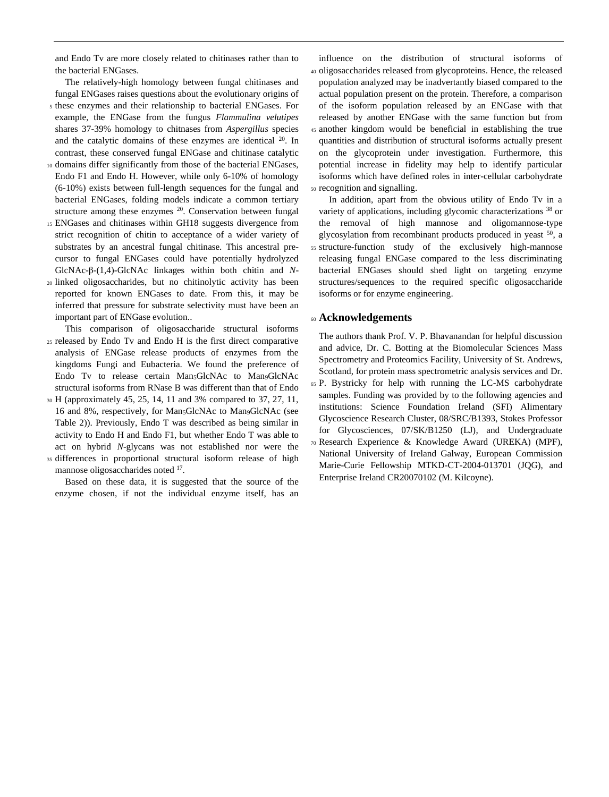and Endo Tv are more closely related to chitinases rather than to the bacterial ENGases.

The relatively-high homology between fungal chitinases and fungal ENGases raises questions about the evolutionary origins of

- <sup>5</sup> these enzymes and their relationship to bacterial ENGases. For example, the ENGase from the fungus *Flammulina velutipes* shares 37-39% homology to chitnases from *Aspergillus* species and the catalytic domains of these enzymes are identical <sup>20</sup>. In contrast, these conserved fungal ENGase and chitinase catalytic
- <sup>10</sup> domains differ significantly from those of the bacterial ENGases, Endo F1 and Endo H. However, while only 6-10% of homology (6-10%) exists between full-length sequences for the fungal and bacterial ENGases, folding models indicate a common tertiary structure among these enzymes  $20$ . Conservation between fungal
- <sup>15</sup> ENGases and chitinases within GH18 suggests divergence from strict recognition of chitin to acceptance of a wider variety of substrates by an ancestral fungal chitinase. This ancestral precursor to fungal ENGases could have potentially hydrolyzed GlcNAc-β-(1,4)-GlcNAc linkages within both chitin and *N*-
- <sup>20</sup> linked oligosaccharides, but no chitinolytic activity has been reported for known ENGases to date. From this, it may be inferred that pressure for substrate selectivity must have been an important part of ENGase evolution..
- This comparison of oligosaccharide structural isoforms <sup>25</sup> released by Endo Tv and Endo H is the first direct comparative analysis of ENGase release products of enzymes from the kingdoms Fungi and Eubacteria. We found the preference of Endo Tv to release certain Man<sub>5</sub>GlcNAc to Man<sub>9</sub>GlcNAc structural isoforms from RNase B was different than that of Endo
- <sup>30</sup> H (approximately 45, 25, 14, 11 and 3% compared to 37, 27, 11, 16 and 8%, respectively, for Man<sub>5</sub>GlcNAc to Man<sub>9</sub>GlcNAc (see Table 2)). Previously, Endo T was described as being similar in activity to Endo H and Endo F1, but whether Endo T was able to act on hybrid *N*-glycans was not established nor were the
- <sup>35</sup> differences in proportional structural isoform release of high mannose oligosaccharides noted <sup>17</sup>.

Based on these data, it is suggested that the source of the enzyme chosen, if not the individual enzyme itself, has an

influence on the distribution of structural isoforms of <sup>40</sup> oligosaccharides released from glycoproteins. Hence, the released population analyzed may be inadvertantly biased compared to the actual population present on the protein. Therefore, a comparison of the isoform population released by an ENGase with that released by another ENGase with the same function but from <sup>45</sup> another kingdom would be beneficial in establishing the true quantities and distribution of structural isoforms actually present on the glycoprotein under investigation. Furthermore, this potential increase in fidelity may help to identify particular isoforms which have defined roles in inter-cellular carbohydrate <sup>50</sup> recognition and signalling.

In addition, apart from the obvious utility of Endo Tv in a variety of applications, including glycomic characterizations <sup>38</sup> or the removal of high mannose and oligomannose-type glycosylation from recombinant products produced in yeast  $50$ , a <sup>55</sup> structure-function study of the exclusively high-mannose releasing fungal ENGase compared to the less discriminating bacterial ENGases should shed light on targeting enzyme structures/sequences to the required specific oligosaccharide isoforms or for enzyme engineering.

# <sup>60</sup> **Acknowledgements**

The authors thank Prof. V. P. Bhavanandan for helpful discussion and advice, Dr. C. Botting at the Biomolecular Sciences Mass Spectrometry and Proteomics Facility, University of St. Andrews, Scotland, for protein mass spectrometric analysis services and Dr.

- <sup>65</sup> P. Bystricky for help with running the LC-MS carbohydrate samples. Funding was provided by to the following agencies and institutions: Science Foundation Ireland (SFI) Alimentary Glycoscience Research Cluster, 08/SRC/B1393, Stokes Professor for Glycosciences, 07/SK/B1250 (LJ), and Undergraduate
- <sup>70</sup> Research Experience & Knowledge Award (UREKA) (MPF), National University of Ireland Galway, European Commission Marie-Curie Fellowship MTKD-CT-2004-013701 (JQG), and Enterprise Ireland CR20070102 (M. Kilcoyne).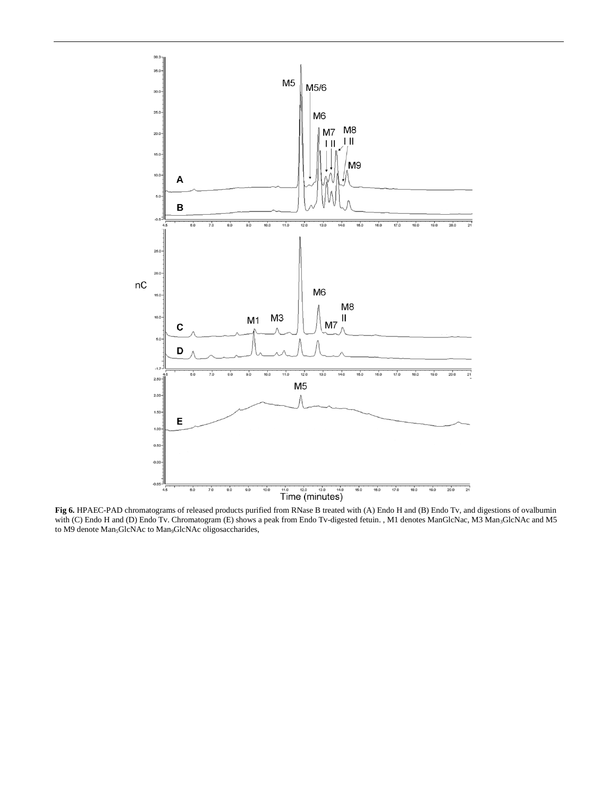

**Fig 6.** HPAEC-PAD chromatograms of released products purified from RNase B treated with (A) Endo H and (B) Endo Tv, and digestions of ovalbumin with (C) Endo H and (D) Endo Tv. Chromatogram (E) shows a peak from Endo Tv-digested fetuin. , M1 denotes ManGlcNac, M3 Man3GlcNAc and M5 to M9 denote Man<sub>5</sub>GlcNAc to Man<sub>9</sub>GlcNAc oligosaccharides,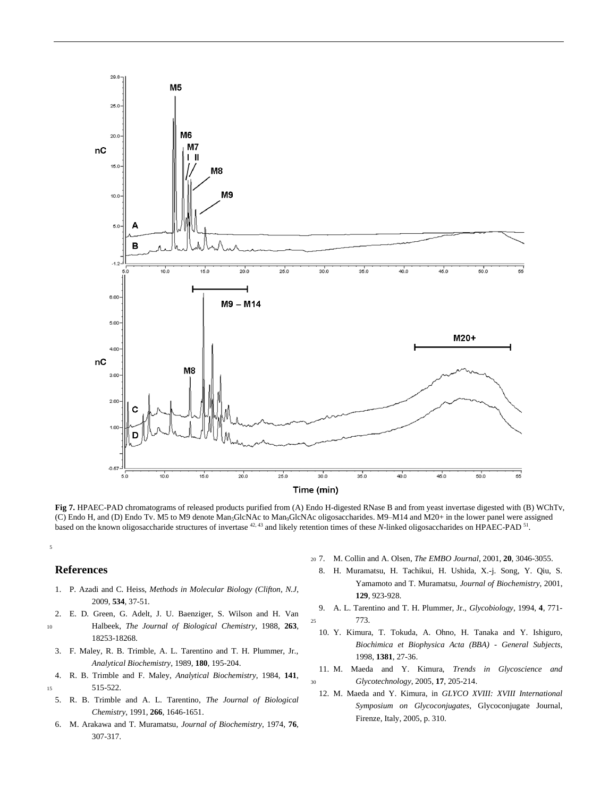

**Fig 7.** HPAEC-PAD chromatograms of released products purified from (A) Endo H-digested RNase B and from yeast invertase digested with (B) WChTv, (C) Endo H, and (D) Endo Tv. M5 to M9 denote Man<sub>5</sub>GlcNAc to Man<sub>9</sub>GlcNAc oligosaccharides. M9-M14 and M20+ in the lower panel were assigned based on the known oligosaccharide structures of invertase <sup>42, 43</sup> and likely retention times of these *N*-linked oligosaccharides on HPAEC-PAD <sup>51</sup>.

#### **References**

5

- 1. P. Azadi and C. Heiss, *Methods in Molecular Biology (Clifton, N.J*, 2009, **534**, 37-51.
- 2. E. D. Green, G. Adelt, J. U. Baenziger, S. Wilson and H. Van
- <sup>10</sup> Halbeek, *The Journal of Biological Chemistry*, 1988, **263**, 18253-18268.
- 3. F. Maley, R. B. Trimble, A. L. Tarentino and T. H. Plummer, Jr., *Analytical Biochemistry*, 1989, **180**, 195-204.
- 4. R. B. Trimble and F. Maley, *Analytical Biochemistry*, 1984, **141**, <sup>15</sup> 515-522.
- 5. R. B. Trimble and A. L. Tarentino, *The Journal of Biological Chemistry*, 1991, **266**, 1646-1651.
- 6. M. Arakawa and T. Muramatsu, *Journal of Biochemistry*, 1974, **76**, 307-317.
- <sup>20</sup> 7. M. Collin and A. Olsen, *The EMBO Journal*, 2001, **20**, 3046-3055.
	- 8. H. Muramatsu, H. Tachikui, H. Ushida, X.-j. Song, Y. Qiu, S. Yamamoto and T. Muramatsu, *Journal of Biochemistry*, 2001, **129**, 923-928.
- 9. A. L. Tarentino and T. H. Plummer, Jr., *Glycobiology*, 1994, **4**, 771- <sup>25</sup> 773.
	- 10. Y. Kimura, T. Tokuda, A. Ohno, H. Tanaka and Y. Ishiguro, *Biochimica et Biophysica Acta (BBA) - General Subjects*, 1998, **1381**, 27-36.
- 11. M. Maeda and Y. Kimura, *Trends in Glycoscience and*  <sup>30</sup> *Glycotechnology*, 2005, **17**, 205-214.
	- 12. M. Maeda and Y. Kimura, in *GLYCO XVIII: XVIII International Symposium on Glycoconjugates*, Glycoconjugate Journal, Firenze, Italy, 2005, p. 310.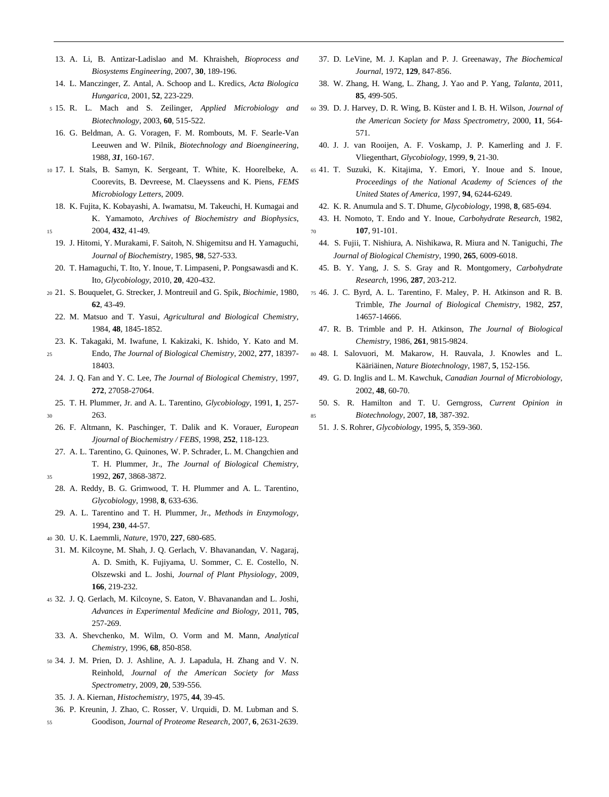- 13. A. Li, B. Antizar-Ladislao and M. Khraisheh, *Bioprocess and Biosystems Engineering*, 2007, **30**, 189-196.
- 14. L. Manczinger, Z. Antal, A. Schoop and L. Kredics, *Acta Biologica Hungarica*, 2001, **52**, 223-229.
- <sup>5</sup> 15. R. L. Mach and S. Zeilinger, *Applied Microbiology and Biotechnology*, 2003, **60**, 515-522.
	- 16. G. Beldman, A. G. Voragen, F. M. Rombouts, M. F. Searle-Van Leeuwen and W. Pilnik, *Biotechnology and Bioengineering*, 1988, *31*, 160-167.
- <sup>10</sup> 17. I. Stals, B. Samyn, K. Sergeant, T. White, K. Hoorelbeke, A. Coorevits, B. Devreese, M. Claeyssens and K. Piens, *FEMS Microbiology Letters*, 2009.
- 18. K. Fujita, K. Kobayashi, A. Iwamatsu, M. Takeuchi, H. Kumagai and K. Yamamoto, *Archives of Biochemistry and Biophysics*, <sup>15</sup> 2004, **432**, 41-49.
- 19. J. Hitomi, Y. Murakami, F. Saitoh, N. Shigemitsu and H. Yamaguchi, *Journal of Biochemistry*, 1985, **98**, 527-533.
- 20. T. Hamaguchi, T. Ito, Y. Inoue, T. Limpaseni, P. Pongsawasdi and K. Ito, *Glycobiology*, 2010, **20**, 420-432.
- <sup>20</sup> 21. S. Bouquelet, G. Strecker, J. Montreuil and G. Spik, *Biochimie*, 1980, **62**, 43-49.
	- 22. M. Matsuo and T. Yasui, *Agricultural and Biological Chemistry*, 1984, **48**, 1845-1852.
- 23. K. Takagaki, M. Iwafune, I. Kakizaki, K. Ishido, Y. Kato and M.
- <sup>25</sup> Endo, *The Journal of Biological Chemistry*, 2002, **277**, 18397- 18403.
	- 24. J. Q. Fan and Y. C. Lee, *The Journal of Biological Chemistry*, 1997, **272**, 27058-27064.
- 25. T. H. Plummer, Jr. and A. L. Tarentino, *Glycobiology*, 1991, **1**, 257- <sup>30</sup> 263.
- 26. F. Altmann, K. Paschinger, T. Dalik and K. Vorauer, *European Jjournal of Biochemistry / FEBS*, 1998, **252**, 118-123.
- 27. A. L. Tarentino, G. Quinones, W. P. Schrader, L. M. Changchien and T. H. Plummer, Jr., *The Journal of Biological Chemistry*,
- <sup>35</sup> 1992, **267**, 3868-3872.
- 28. A. Reddy, B. G. Grimwood, T. H. Plummer and A. L. Tarentino, *Glycobiology*, 1998, **8**, 633-636.
- 29. A. L. Tarentino and T. H. Plummer, Jr., *Methods in Enzymology*, 1994, **230**, 44-57.
- <sup>40</sup> 30. U. K. Laemmli, *Nature*, 1970, **227**, 680-685.
	- 31. M. Kilcoyne, M. Shah, J. Q. Gerlach, V. Bhavanandan, V. Nagaraj, A. D. Smith, K. Fujiyama, U. Sommer, C. E. Costello, N. Olszewski and L. Joshi, *Journal of Plant Physiology*, 2009, **166**, 219-232.
- <sup>45</sup> 32. J. Q. Gerlach, M. Kilcoyne, S. Eaton, V. Bhavanandan and L. Joshi, *Advances in Experimental Medicine and Biology*, 2011, **705**, 257-269.
- 33. A. Shevchenko, M. Wilm, O. Vorm and M. Mann, *Analytical Chemistry*, 1996, **68**, 850-858.
- <sup>50</sup> 34. J. M. Prien, D. J. Ashline, A. J. Lapadula, H. Zhang and V. N. Reinhold, *Journal of the American Society for Mass Spectrometry*, 2009, **20**, 539-556.
	- 35. J. A. Kiernan, *Histochemistry*, 1975, **44**, 39-45.
- 36. P. Kreunin, J. Zhao, C. Rosser, V. Urquidi, D. M. Lubman and S.
- <sup>55</sup> Goodison, *Journal of Proteome Research*, 2007, **6**, 2631-2639.
- 37. D. LeVine, M. J. Kaplan and P. J. Greenaway, *The Biochemical Journal*, 1972, **129**, 847-856.
- 38. W. Zhang, H. Wang, L. Zhang, J. Yao and P. Yang, *Talanta*, 2011, **85**, 499-505.
- <sup>60</sup> 39. D. J. Harvey, D. R. Wing, B. Küster and I. B. H. Wilson, *Journal of the American Society for Mass Spectrometry*, 2000, **11**, 564- 571.
- 40. J. J. van Rooijen, A. F. Voskamp, J. P. Kamerling and J. F. Vliegenthart, *Glycobiology*, 1999, **9**, 21-30.
- <sup>65</sup> 41. T. Suzuki, K. Kitajima, Y. Emori, Y. Inoue and S. Inoue, *Proceedings of the National Academy of Sciences of the United States of America*, 1997, **94**, 6244-6249.
	- 42. K. R. Anumula and S. T. Dhume, *Glycobiology*, 1998, **8**, 685-694.
- 43. H. Nomoto, T. Endo and Y. Inoue, *Carbohydrate Research*, 1982, <sup>70</sup> **107**, 91-101.
- 44. S. Fujii, T. Nishiura, A. Nishikawa, R. Miura and N. Taniguchi, *The Journal of Biological Chemistry*, 1990, **265**, 6009-6018.
- 45. B. Y. Yang, J. S. S. Gray and R. Montgomery, *Carbohydrate Research*, 1996, **287**, 203-212.
- <sup>75</sup> 46. J. C. Byrd, A. L. Tarentino, F. Maley, P. H. Atkinson and R. B. Trimble, *The Journal of Biological Chemistry*, 1982, **257**, 14657-14666.
- 47. R. B. Trimble and P. H. Atkinson, *The Journal of Biological Chemistry*, 1986, **261**, 9815-9824.
- <sup>80</sup> 48. I. Salovuori, M. Makarow, H. Rauvala, J. Knowles and L. Kääriäinen, *Nature Biotechnology*, 1987, **5**, 152-156.
	- 49. G. D. Inglis and L. M. Kawchuk, *Canadian Journal of Microbiology*, 2002, **48**, 60-70.
- 50. S. R. Hamilton and T. U. Gerngross, *Current Opinion in*  <sup>85</sup> *Biotechnology*, 2007, **18**, 387-392.
	- 51. J. S. Rohrer, *Glycobiology*, 1995, **5**, 359-360.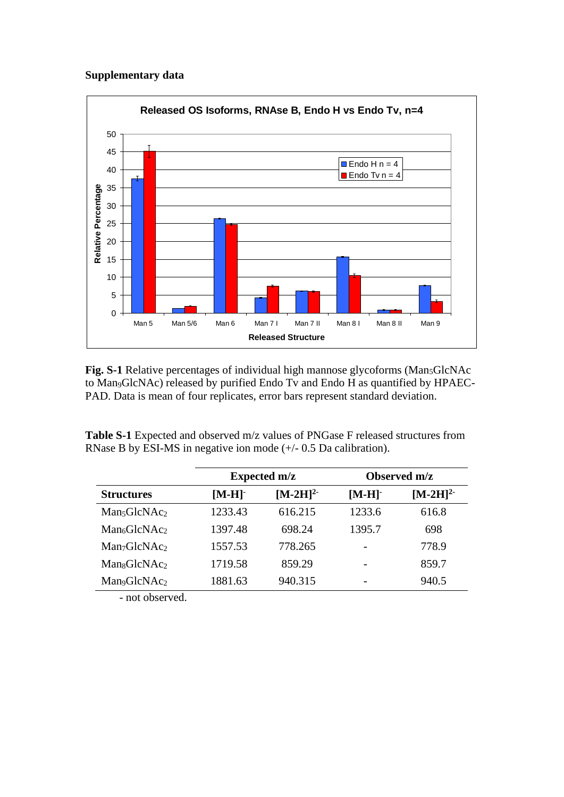# **Supplementary data**



Fig. S-1 Relative percentages of individual high mannose glycoforms (Man<sub>5</sub>GlcNAc) to Man9GlcNAc) released by purified Endo Tv and Endo H as quantified by HPAEC-PAD. Data is mean of four replicates, error bars represent standard deviation.

**Table S-1** Expected and observed m/z values of PNGase F released structures from RNase B by ESI-MS in negative ion mode (+/- 0.5 Da calibration).

|                                      |         | <b>Expected m/z</b> | Observed m/z |               |  |
|--------------------------------------|---------|---------------------|--------------|---------------|--|
| <b>Structures</b>                    | $[M-H]$ | $[M-2H]^{2-}$       | $[M-H]$      | $[M-2H]^{2-}$ |  |
| Man <sub>5</sub> GlcNAc <sub>2</sub> | 1233.43 | 616.215             | 1233.6       | 616.8         |  |
| Man <sub>6</sub> GlcNAc <sub>2</sub> | 1397.48 | 698.24              | 1395.7       | 698           |  |
| Man <sub>7</sub> GlcNAc <sub>2</sub> | 1557.53 | 778.265             |              | 778.9         |  |
| Man <sub>8</sub> GlcNAc <sub>2</sub> | 1719.58 | 859.29              |              | 859.7         |  |
| Man <sub>9</sub> GlcNAc <sub>2</sub> | 1881.63 | 940.315             |              | 940.5         |  |
|                                      |         |                     |              |               |  |

- not observed.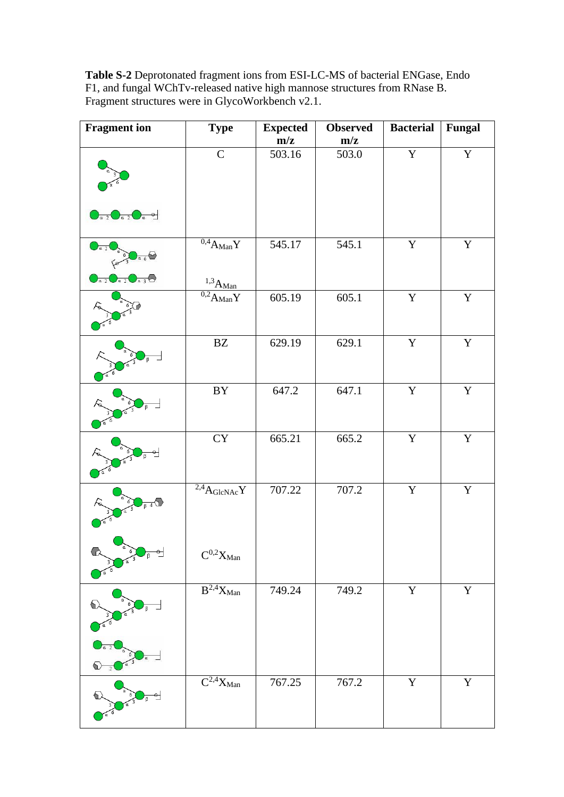**Table S-2** Deprotonated fragment ions from ESI-LC-MS of bacterial ENGase, Endo F1, and fungal WChTv-released native high mannose structures from RNase B. Fragment structures were in GlycoWorkbench v2.1.

| <b>Fragment</b> ion                                                                                    | <b>Type</b>                                              | <b>Expected</b> | <b>Observed</b> | <b>Bacterial</b> | <b>Fungal</b> |
|--------------------------------------------------------------------------------------------------------|----------------------------------------------------------|-----------------|-----------------|------------------|---------------|
|                                                                                                        |                                                          | m/z             | m/z             |                  |               |
|                                                                                                        | $\mathsf{C}$                                             | 503.16          | 503.0           | $\mathbf Y$      | $\mathbf Y$   |
| $\bigcirc$ <sub>a 2</sub> $\bigcirc$ <sub>a 2</sub> $\bigcirc$ <sub>a</sub> $\circ$                    |                                                          |                 |                 |                  |               |
| $\frac{1}{a}6\degree$<br>$\bigcirc$ <sub>a 2</sub> $\bigcirc$ <sub>a 2</sub> $\bigcirc$ <sub>a 3</sub> | $\overline{^{0,4}A_{Man}}Y$                              | 545.17          | 545.1           | $\mathbf Y$      | $\mathbf Y$   |
|                                                                                                        | $^{1,3}$ A <sub>Man</sub><br>$\overline{^{0,2}A_{Man}}Y$ | 605.19          | 605.1           | $\mathbf Y$      | $\mathbf Y$   |
|                                                                                                        | $\mathbf{B}\mathbf{Z}$                                   | 629.19          | 629.1           | $\mathbf Y$      | $\mathbf Y$   |
|                                                                                                        | $\rm BY$                                                 | 647.2           | 647.1           | $\mathbf Y$      | $\mathbf Y$   |
|                                                                                                        | ${\rm CY}$                                               | 665.21          | 665.2           | $\mathbf Y$      | $\mathbf Y$   |
| $\sqrt{3}$                                                                                             | $\overline{^{2,4}A_{GlcNAc}}Y$                           | 707.22          | 707.2           | $\mathbf Y$      | $\mathbf Y$   |
|                                                                                                        | $\mathbf{C}^{0,2}\mathbf{X}_{Man}$                       |                 |                 |                  |               |
| 6)                                                                                                     | $\overline{B^{2,4}}X_{Man}$                              | 749.24          | 749.2           | $\mathbf Y$      | $\mathbf Y$   |
|                                                                                                        | $\overline{C^{2,4}}X_{Man}$                              | 767.25          | 767.2           | $\mathbf Y$      | $\mathbf Y$   |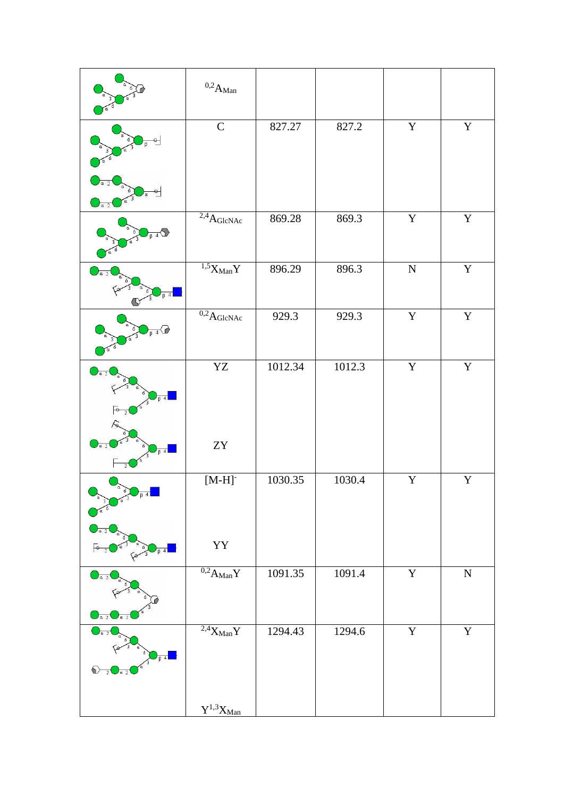|                                                      | $^{0,2}\mathrm{A}_\mathrm{Man}$        |         |        |                         |                |
|------------------------------------------------------|----------------------------------------|---------|--------|-------------------------|----------------|
|                                                      | $\mathsf C$                            | 827.27  | 827.2  | $\mathbf Y$             | $\mathbf Y$    |
| a.                                                   |                                        |         |        |                         |                |
| $L_{\beta}$                                          | $2.4$ AGlcNAc                          | 869.28  | 869.3  | $\mathbf Y$             | $\mathbf Y$    |
| $\beta$ 4                                            | $1.5\overline{X}_{Man}Y$               | 896.29  | 896.3  | ${\bf N}$               | $\mathbf Y$    |
| $\overline{\beta}$ 4 $\overline{\alpha}$             | $\overline{^{0,2}{A}}_{\text{GlcNAc}}$ | 929.3   | 929.3  | $\mathbf Y$             | $\mathbf Y$    |
| $\int_{a}^{a}$<br>$B$ 4                              | ${\rm YZ}$                             | 1012.34 | 1012.3 | $\overline{\mathbf{Y}}$ | $\mathbf Y$    |
| a <sub>2</sub><br>$\beta$ 4<br>$\overline{2}$        | ${\rm ZY}$                             |         |        |                         |                |
| α<br>$\sqrt{3}$<br>کم                                | $[M-H]$                                | 1030.35 | 1030.4 | $\overline{\mathbf{Y}}$ | $\overline{Y}$ |
|                                                      | YY                                     |         |        |                         |                |
| $\int_{a}^{a}$<br>$\int a^2$<br>$\alpha$ 2           | $\overline{^{0,2}A_{Man}}\overline{Y}$ | 1091.35 | 1091.4 | $\overline{\mathbf{Y}}$ | ${\bf N}$      |
| $\overline{64}$<br>♦<br>$\overline{2}$<br>$\alpha$ 2 | $2.4$ X <sub>Man</sub> Y               | 1294.43 | 1294.6 | $\mathbf Y$             | $\mathbf Y$    |
|                                                      | $\mathbf{Y}^{1,3}\mathbf{X}_{Man}$     |         |        |                         |                |